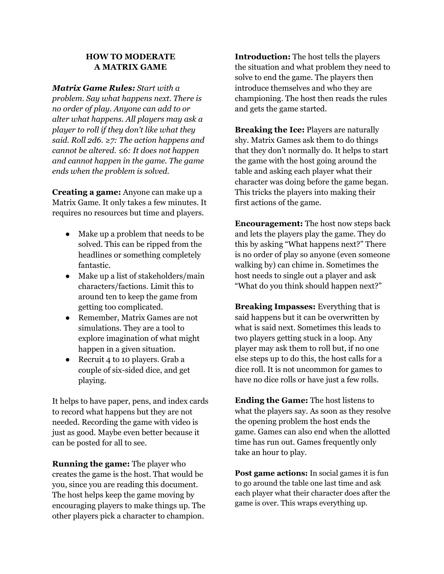## **HOW TO MODERATE A MATRIX GAME**

*Matrix Game Rules: Start with a*

*problem. Say what happens next. There is no order of play. Anyone can add to or alter what happens. All players may ask a player to roll if they don't like what they said. Roll 2d6. ≥7: The action happens and cannot be altered. ≤6: It does not happen and cannot happen in the game. The game ends when the problem is solved.*

**Creating a game:** Anyone can make up a Matrix Game. It only takes a few minutes. It requires no resources but time and players.

- Make up a problem that needs to be solved. This can be ripped from the headlines or something completely fantastic.
- Make up a list of stakeholders/main characters/factions. Limit this to around ten to keep the game from getting too complicated.
- Remember, Matrix Games are not simulations. They are a tool to explore imagination of what might happen in a given situation.
- Recruit 4 to 10 players. Grab a couple of six-sided dice, and get playing.

It helps to have paper, pens, and index cards to record what happens but they are not needed. Recording the game with video is just as good. Maybe even better because it can be posted for all to see.

**Running the game:** The player who creates the game is the host. That would be you, since you are reading this document. The host helps keep the game moving by encouraging players to make things up. The other players pick a character to champion.

**Introduction:** The host tells the players the situation and what problem they need to solve to end the game. The players then introduce themselves and who they are championing. The host then reads the rules and gets the game started.

**Breaking the Ice:** Players are naturally shy. Matrix Games ask them to do things that they don't normally do. It helps to start the game with the host going around the table and asking each player what their character was doing before the game began. This tricks the players into making their first actions of the game.

**Encouragement:** The host now steps back and lets the players play the game. They do this by asking "What happens next?" There is no order of play so anyone (even someone walking by) can chime in. Sometimes the host needs to single out a player and ask "What do you think should happen next?"

**Breaking Impasses:** Everything that is said happens but it can be overwritten by what is said next. Sometimes this leads to two players getting stuck in a loop. Any player may ask them to roll but, if no one else steps up to do this, the host calls for a dice roll. It is not uncommon for games to have no dice rolls or have just a few rolls.

**Ending the Game:** The host listens to what the players say. As soon as they resolve the opening problem the host ends the game. Games can also end when the allotted time has run out. Games frequently only take an hour to play.

**Post game actions:** In social games it is fun to go around the table one last time and ask each player what their character does after the game is over. This wraps everything up.